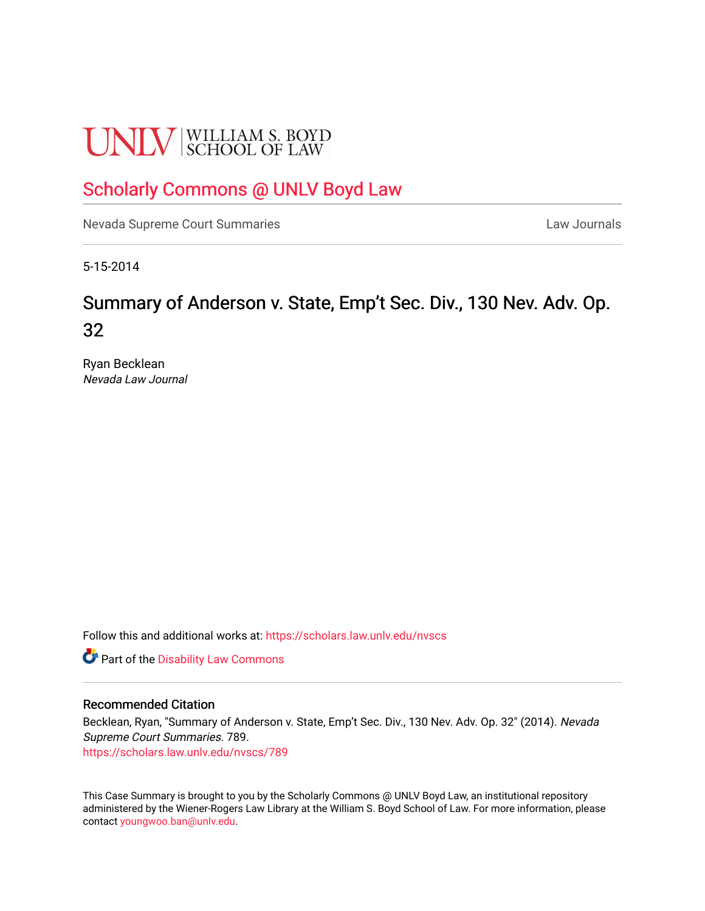# **UNLV** SCHOOL OF LAW

## [Scholarly Commons @ UNLV Boyd Law](https://scholars.law.unlv.edu/)

[Nevada Supreme Court Summaries](https://scholars.law.unlv.edu/nvscs) **Law Journals** Law Journals

5-15-2014

## Summary of Anderson v. State, Emp't Sec. Div., 130 Nev. Adv. Op. 32

Ryan Becklean Nevada Law Journal

Follow this and additional works at: [https://scholars.law.unlv.edu/nvscs](https://scholars.law.unlv.edu/nvscs?utm_source=scholars.law.unlv.edu%2Fnvscs%2F789&utm_medium=PDF&utm_campaign=PDFCoverPages)

**C** Part of the Disability Law Commons

#### Recommended Citation

Becklean, Ryan, "Summary of Anderson v. State, Emp't Sec. Div., 130 Nev. Adv. Op. 32" (2014). Nevada Supreme Court Summaries. 789.

[https://scholars.law.unlv.edu/nvscs/789](https://scholars.law.unlv.edu/nvscs/789?utm_source=scholars.law.unlv.edu%2Fnvscs%2F789&utm_medium=PDF&utm_campaign=PDFCoverPages)

This Case Summary is brought to you by the Scholarly Commons @ UNLV Boyd Law, an institutional repository administered by the Wiener-Rogers Law Library at the William S. Boyd School of Law. For more information, please contact [youngwoo.ban@unlv.edu](mailto:youngwoo.ban@unlv.edu).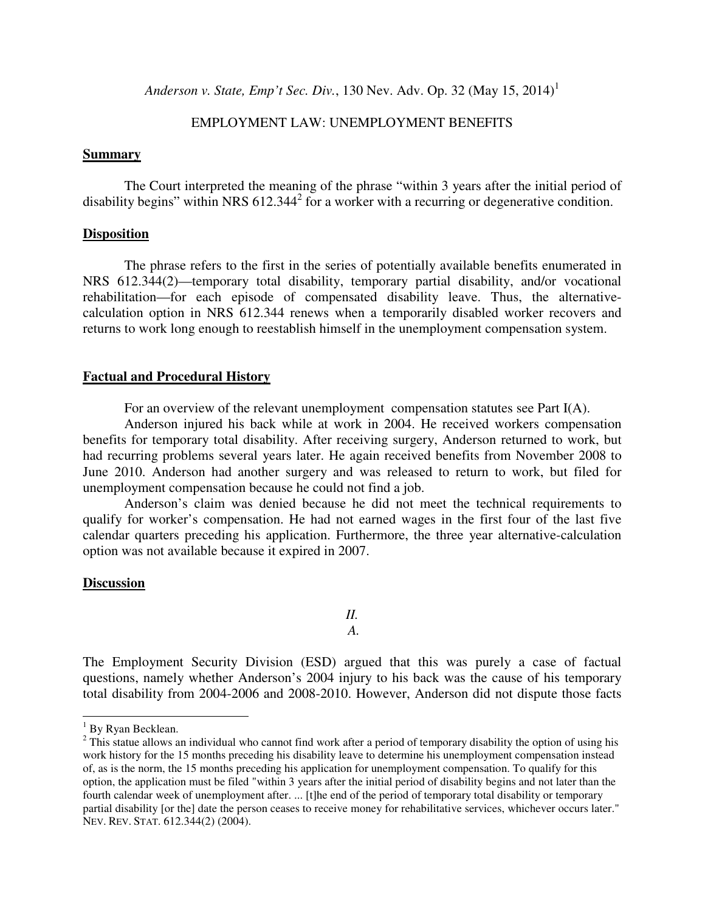*Anderson v. State, Emp't Sec. Div.,* 130 Nev. Adv. Op. 32 (May 15, 2014)<sup>1</sup>

#### EMPLOYMENT LAW: UNEMPLOYMENT BENEFITS

#### **Summary**

The Court interpreted the meaning of the phrase "within 3 years after the initial period of disability begins" within NRS  $612.344<sup>2</sup>$  for a worker with a recurring or degenerative condition.

#### **Disposition**

 The phrase refers to the first in the series of potentially available benefits enumerated in NRS 612.344(2)—temporary total disability, temporary partial disability, and/or vocational rehabilitation—for each episode of compensated disability leave. Thus, the alternativecalculation option in NRS 612.344 renews when a temporarily disabled worker recovers and returns to work long enough to reestablish himself in the unemployment compensation system.

#### **Factual and Procedural History**

For an overview of the relevant unemployment compensation statutes see Part I(A).

Anderson injured his back while at work in 2004. He received workers compensation benefits for temporary total disability. After receiving surgery, Anderson returned to work, but had recurring problems several years later. He again received benefits from November 2008 to June 2010. Anderson had another surgery and was released to return to work, but filed for unemployment compensation because he could not find a job.

Anderson's claim was denied because he did not meet the technical requirements to qualify for worker's compensation. He had not earned wages in the first four of the last five calendar quarters preceding his application. Furthermore, the three year alternative-calculation option was not available because it expired in 2007.

#### **Discussion**

*II. A.* 

The Employment Security Division (ESD) argued that this was purely a case of factual questions, namely whether Anderson's 2004 injury to his back was the cause of his temporary total disability from 2004-2006 and 2008-2010. However, Anderson did not dispute those facts

 $\overline{a}$ 

<sup>&</sup>lt;sup>1</sup> By Ryan Becklean.

 $2^2$  This statue allows an individual who cannot find work after a period of temporary disability the option of using his work history for the 15 months preceding his disability leave to determine his unemployment compensation instead of, as is the norm, the 15 months preceding his application for unemployment compensation. To qualify for this option, the application must be filed "within 3 years after the initial period of disability begins and not later than the fourth calendar week of unemployment after. ... [t]he end of the period of temporary total disability or temporary partial disability [or the] date the person ceases to receive money for rehabilitative services, whichever occurs later." NEV. REV. STAT. 612.344(2) (2004).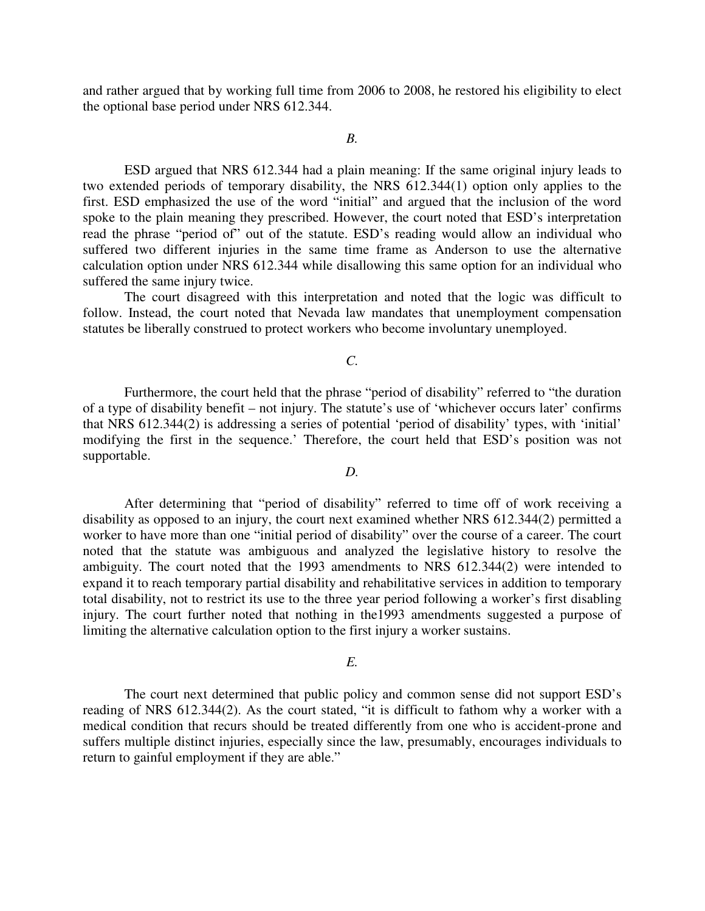and rather argued that by working full time from 2006 to 2008, he restored his eligibility to elect the optional base period under NRS 612.344.

#### *B.*

 ESD argued that NRS 612.344 had a plain meaning: If the same original injury leads to two extended periods of temporary disability, the NRS 612.344(1) option only applies to the first. ESD emphasized the use of the word "initial" and argued that the inclusion of the word spoke to the plain meaning they prescribed. However, the court noted that ESD's interpretation read the phrase "period of" out of the statute. ESD's reading would allow an individual who suffered two different injuries in the same time frame as Anderson to use the alternative calculation option under NRS 612.344 while disallowing this same option for an individual who suffered the same injury twice.

 The court disagreed with this interpretation and noted that the logic was difficult to follow. Instead, the court noted that Nevada law mandates that unemployment compensation statutes be liberally construed to protect workers who become involuntary unemployed.

#### *C.*

Furthermore, the court held that the phrase "period of disability" referred to "the duration of a type of disability benefit – not injury. The statute's use of 'whichever occurs later' confirms that NRS 612.344(2) is addressing a series of potential 'period of disability' types, with 'initial' modifying the first in the sequence.' Therefore, the court held that ESD's position was not supportable.

#### *D.*

 After determining that "period of disability" referred to time off of work receiving a disability as opposed to an injury, the court next examined whether NRS 612.344(2) permitted a worker to have more than one "initial period of disability" over the course of a career. The court noted that the statute was ambiguous and analyzed the legislative history to resolve the ambiguity. The court noted that the 1993 amendments to NRS 612.344(2) were intended to expand it to reach temporary partial disability and rehabilitative services in addition to temporary total disability, not to restrict its use to the three year period following a worker's first disabling injury. The court further noted that nothing in the1993 amendments suggested a purpose of limiting the alternative calculation option to the first injury a worker sustains.

#### *E.*

 The court next determined that public policy and common sense did not support ESD's reading of NRS 612.344(2). As the court stated, "it is difficult to fathom why a worker with a medical condition that recurs should be treated differently from one who is accident-prone and suffers multiple distinct injuries, especially since the law, presumably, encourages individuals to return to gainful employment if they are able."